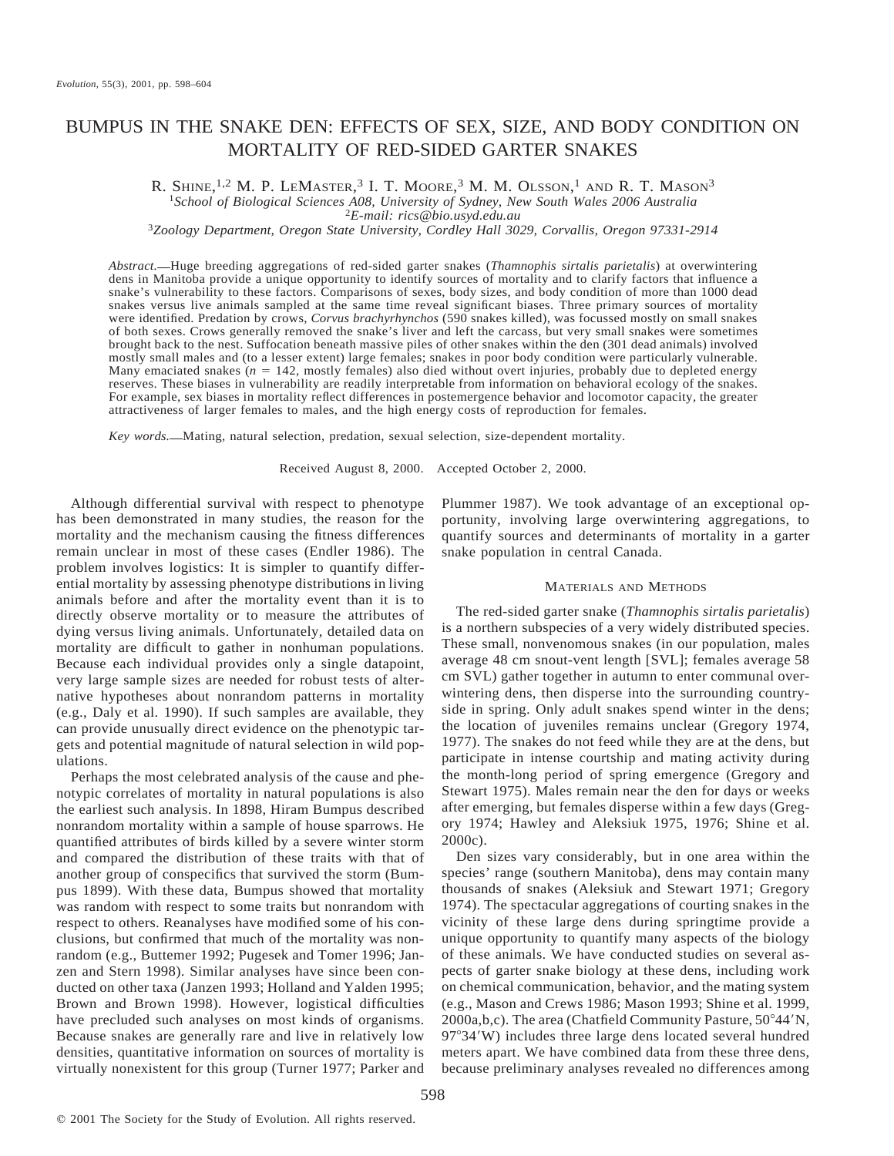# BUMPUS IN THE SNAKE DEN: EFFECTS OF SEX, SIZE, AND BODY CONDITION ON MORTALITY OF RED-SIDED GARTER SNAKES

R. Shine,<sup>1,2</sup> M. P. LeMaster,<sup>3</sup> I. T. Moore,<sup>3</sup> M. M. Olsson,<sup>1</sup> and R. T. Mason<sup>3</sup> <sup>1</sup>School of Biological Sciences A08, University of Sydney, New South Wales 2006 Australia<br><sup>2</sup>E-mail: rics@bio.usyd.edu.au<br><sup>3</sup>Zoology Department, Oregon State University, Cordley Hall 3029, Corvallis, Oregon 97331-2914

*Abstract.* Huge breeding aggregations of red-sided garter snakes (*Thamnophis sirtalis parietalis*) at overwintering dens in Manitoba provide a unique opportunity to identify sources of mortality and to clarify factors that influence a snake's vulnerability to these factors. Comparisons of sexes, body sizes, and body condition of more than 1000 dead snakes versus live animals sampled at the same time reveal significant biases. Three primary sources of mortality were identified. Predation by crows, *Corvus brachyrhynchos* (590 snakes killed), was focussed mostly on small snakes of both sexes. Crows generally removed the snake's liver and left the carcass, but very small snakes were sometimes brought back to the nest. Suffocation beneath massive piles of other snakes within the den (301 dead animals) involved mostly small males and (to a lesser extent) large females; snakes in poor body condition were particularly vulnerable. Many emaciated snakes  $(n = 142, \text{mostly females})$  also died without overt injuries, probably due to depleted energy reserves. These biases in vulnerability are readily interpretable from information on behavioral ecology of the snakes. For example, sex biases in mortality reflect differences in postemergence behavior and locomotor capacity, the greater attractiveness of larger females to males, and the high energy costs of reproduction for females.

*Key words.* Mating, natural selection, predation, sexual selection, size-dependent mortality.

Received August 8, 2000. Accepted October 2, 2000.

Although differential survival with respect to phenotype has been demonstrated in many studies, the reason for the mortality and the mechanism causing the fitness differences remain unclear in most of these cases (Endler 1986). The problem involves logistics: It is simpler to quantify differential mortality by assessing phenotype distributions in living animals before and after the mortality event than it is to directly observe mortality or to measure the attributes of dying versus living animals. Unfortunately, detailed data on mortality are difficult to gather in nonhuman populations. Because each individual provides only a single datapoint, very large sample sizes are needed for robust tests of alternative hypotheses about nonrandom patterns in mortality (e.g., Daly et al. 1990). If such samples are available, they can provide unusually direct evidence on the phenotypic targets and potential magnitude of natural selection in wild populations.

Perhaps the most celebrated analysis of the cause and phenotypic correlates of mortality in natural populations is also the earliest such analysis. In 1898, Hiram Bumpus described nonrandom mortality within a sample of house sparrows. He quantified attributes of birds killed by a severe winter storm and compared the distribution of these traits with that of another group of conspecifics that survived the storm (Bumpus 1899). With these data, Bumpus showed that mortality was random with respect to some traits but nonrandom with respect to others. Reanalyses have modified some of his conclusions, but confirmed that much of the mortality was nonrandom (e.g., Buttemer 1992; Pugesek and Tomer 1996; Janzen and Stern 1998). Similar analyses have since been conducted on other taxa (Janzen 1993; Holland and Yalden 1995; Brown and Brown 1998). However, logistical difficulties have precluded such analyses on most kinds of organisms. Because snakes are generally rare and live in relatively low densities, quantitative information on sources of mortality is virtually nonexistent for this group (Turner 1977; Parker and Plummer 1987). We took advantage of an exceptional opportunity, involving large overwintering aggregations, to quantify sources and determinants of mortality in a garter snake population in central Canada.

# MATERIALS AND METHODS

The red-sided garter snake (*Thamnophis sirtalis parietalis*) is a northern subspecies of a very widely distributed species. These small, nonvenomous snakes (in our population, males average 48 cm snout-vent length [SVL]; females average 58 cm SVL) gather together in autumn to enter communal overwintering dens, then disperse into the surrounding countryside in spring. Only adult snakes spend winter in the dens; the location of juveniles remains unclear (Gregory 1974, 1977). The snakes do not feed while they are at the dens, but participate in intense courtship and mating activity during the month-long period of spring emergence (Gregory and Stewart 1975). Males remain near the den for days or weeks after emerging, but females disperse within a few days (Gregory 1974; Hawley and Aleksiuk 1975, 1976; Shine et al. 2000c).

Den sizes vary considerably, but in one area within the species' range (southern Manitoba), dens may contain many thousands of snakes (Aleksiuk and Stewart 1971; Gregory 1974). The spectacular aggregations of courting snakes in the vicinity of these large dens during springtime provide a unique opportunity to quantify many aspects of the biology of these animals. We have conducted studies on several aspects of garter snake biology at these dens, including work on chemical communication, behavior, and the mating system (e.g., Mason and Crews 1986; Mason 1993; Shine et al. 1999, 2000a,b,c). The area (Chatfield Community Pasture,  $50^{\circ}44'N$ , 97°34′W) includes three large dens located several hundred meters apart. We have combined data from these three dens, because preliminary analyses revealed no differences among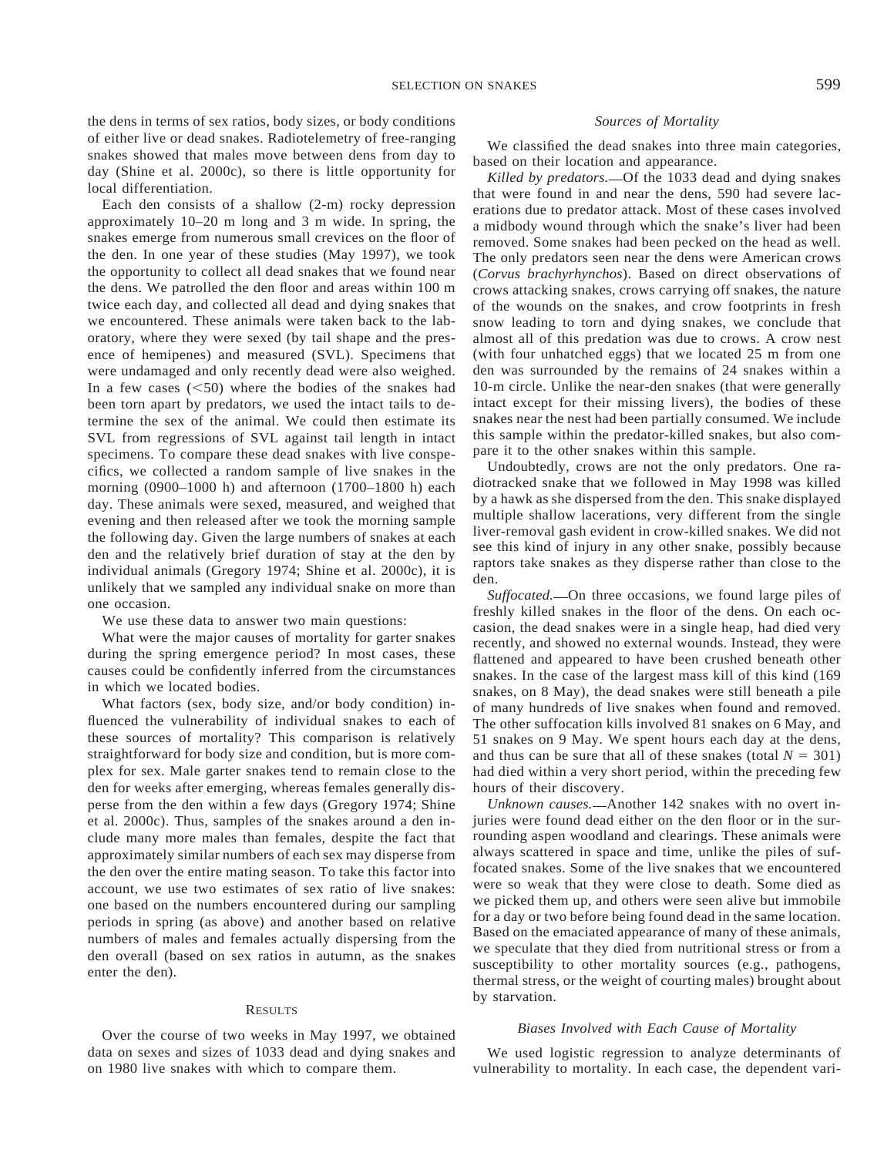Each den consists of a shallow (2-m) rocky depression approximately 10–20 m long and 3 m wide. In spring, the snakes emerge from numerous small crevices on the floor of the den. In one year of these studies (May 1997), we took the opportunity to collect all dead snakes that we found near the dens. We patrolled the den floor and areas within 100 m twice each day, and collected all dead and dying snakes that we encountered. These animals were taken back to the laboratory, where they were sexed (by tail shape and the presence of hemipenes) and measured (SVL). Specimens that were undamaged and only recently dead were also weighed. In a few cases  $(<50)$  where the bodies of the snakes had been torn apart by predators, we used the intact tails to determine the sex of the animal. We could then estimate its SVL from regressions of SVL against tail length in intact specimens. To compare these dead snakes with live conspecifics, we collected a random sample of live snakes in the morning (0900–1000 h) and afternoon (1700–1800 h) each day. These animals were sexed, measured, and weighed that evening and then released after we took the morning sample the following day. Given the large numbers of snakes at each den and the relatively brief duration of stay at the den by individual animals (Gregory 1974; Shine et al. 2000c), it is unlikely that we sampled any individual snake on more than one occasion.

We use these data to answer two main questions:

What were the major causes of mortality for garter snakes during the spring emergence period? In most cases, these causes could be confidently inferred from the circumstances in which we located bodies.

What factors (sex, body size, and/or body condition) influenced the vulnerability of individual snakes to each of these sources of mortality? This comparison is relatively straightforward for body size and condition, but is more complex for sex. Male garter snakes tend to remain close to the den for weeks after emerging, whereas females generally disperse from the den within a few days (Gregory 1974; Shine et al. 2000c). Thus, samples of the snakes around a den include many more males than females, despite the fact that approximately similar numbers of each sex may disperse from the den over the entire mating season. To take this factor into account, we use two estimates of sex ratio of live snakes: one based on the numbers encountered during our sampling periods in spring (as above) and another based on relative numbers of males and females actually dispersing from the den overall (based on sex ratios in autumn, as the snakes enter the den).

## **RESULTS**

Over the course of two weeks in May 1997, we obtained data on sexes and sizes of 1033 dead and dying snakes and on 1980 live snakes with which to compare them.

## *Sources of Mortality*

We classified the dead snakes into three main categories, based on their location and appearance.

Killed by predators.—Of the 1033 dead and dying snakes that were found in and near the dens, 590 had severe lacerations due to predator attack. Most of these cases involved a midbody wound through which the snake's liver had been removed. Some snakes had been pecked on the head as well. The only predators seen near the dens were American crows (*Corvus brachyrhynchos*). Based on direct observations of crows attacking snakes, crows carrying off snakes, the nature of the wounds on the snakes, and crow footprints in fresh snow leading to torn and dying snakes, we conclude that almost all of this predation was due to crows. A crow nest (with four unhatched eggs) that we located 25 m from one den was surrounded by the remains of 24 snakes within a 10-m circle. Unlike the near-den snakes (that were generally intact except for their missing livers), the bodies of these snakes near the nest had been partially consumed. We include this sample within the predator-killed snakes, but also compare it to the other snakes within this sample.

Undoubtedly, crows are not the only predators. One radiotracked snake that we followed in May 1998 was killed by a hawk as she dispersed from the den. This snake displayed multiple shallow lacerations, very different from the single liver-removal gash evident in crow-killed snakes. We did not see this kind of injury in any other snake, possibly because raptors take snakes as they disperse rather than close to the den.

Suffocated. On three occasions, we found large piles of freshly killed snakes in the floor of the dens. On each occasion, the dead snakes were in a single heap, had died very recently, and showed no external wounds. Instead, they were flattened and appeared to have been crushed beneath other snakes. In the case of the largest mass kill of this kind (169 snakes, on 8 May), the dead snakes were still beneath a pile of many hundreds of live snakes when found and removed. The other suffocation kills involved 81 snakes on 6 May, and 51 snakes on 9 May. We spent hours each day at the dens, and thus can be sure that all of these snakes (total  $N = 301$ ) had died within a very short period, within the preceding few hours of their discovery.

*Unknown causes.* Another 142 snakes with no overt injuries were found dead either on the den floor or in the surrounding aspen woodland and clearings. These animals were always scattered in space and time, unlike the piles of suffocated snakes. Some of the live snakes that we encountered were so weak that they were close to death. Some died as we picked them up, and others were seen alive but immobile for a day or two before being found dead in the same location. Based on the emaciated appearance of many of these animals, we speculate that they died from nutritional stress or from a susceptibility to other mortality sources (e.g., pathogens, thermal stress, or the weight of courting males) brought about by starvation.

# *Biases Involved with Each Cause of Mortality*

We used logistic regression to analyze determinants of vulnerability to mortality. In each case, the dependent vari-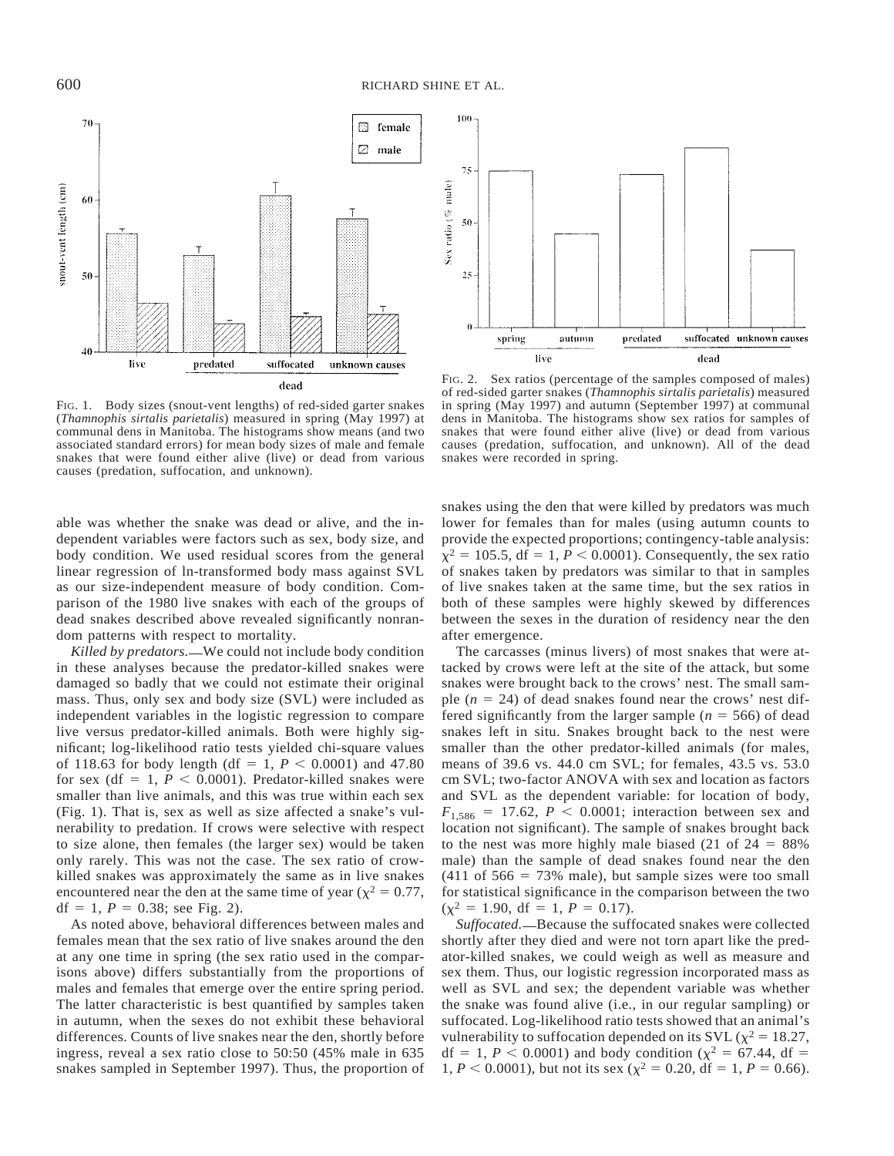

FIG. 1. Body sizes (snout-vent lengths) of red-sided garter snakes (*Thamnophis sirtalis parietalis*) measured in spring (May 1997) at communal dens in Manitoba. The histograms show means (and two associated standard errors) for mean body sizes of male and female snakes that were found either alive (live) or dead from various causes (predation, suffocation, and unknown).

able was whether the snake was dead or alive, and the independent variables were factors such as sex, body size, and body condition. We used residual scores from the general linear regression of ln-transformed body mass against SVL as our size-independent measure of body condition. Comparison of the 1980 live snakes with each of the groups of dead snakes described above revealed significantly nonrandom patterns with respect to mortality.

*Killed by predators.* We could not include body condition in these analyses because the predator-killed snakes were damaged so badly that we could not estimate their original mass. Thus, only sex and body size (SVL) were included as independent variables in the logistic regression to compare live versus predator-killed animals. Both were highly significant; log-likelihood ratio tests yielded chi-square values of 118.63 for body length (df = 1,  $P < 0.0001$ ) and 47.80 for sex (df = 1,  $P < 0.0001$ ). Predator-killed snakes were smaller than live animals, and this was true within each sex (Fig. 1). That is, sex as well as size affected a snake's vulnerability to predation. If crows were selective with respect to size alone, then females (the larger sex) would be taken only rarely. This was not the case. The sex ratio of crowkilled snakes was approximately the same as in live snakes encountered near the den at the same time of year ( $\chi^2 = 0.77$ , df = 1,  $P = 0.38$ ; see Fig. 2).

As noted above, behavioral differences between males and females mean that the sex ratio of live snakes around the den at any one time in spring (the sex ratio used in the comparisons above) differs substantially from the proportions of males and females that emerge over the entire spring period. The latter characteristic is best quantified by samples taken in autumn, when the sexes do not exhibit these behavioral differences. Counts of live snakes near the den, shortly before ingress, reveal a sex ratio close to 50:50 (45% male in 635 snakes sampled in September 1997). Thus, the proportion of



FIG. 2. Sex ratios (percentage of the samples composed of males) of red-sided garter snakes (*Thamnophis sirtalis parietalis*) measured in spring (May 1997) and autumn (September 1997) at communal dens in Manitoba. The histograms show sex ratios for samples of snakes that were found either alive (live) or dead from various causes (predation, suffocation, and unknown). All of the dead snakes were recorded in spring.

snakes using the den that were killed by predators was much lower for females than for males (using autumn counts to provide the expected proportions; contingency-table analysis:  $\chi^2$  = 105.5, df = 1, *P* < 0.0001). Consequently, the sex ratio of snakes taken by predators was similar to that in samples of live snakes taken at the same time, but the sex ratios in both of these samples were highly skewed by differences between the sexes in the duration of residency near the den after emergence.

The carcasses (minus livers) of most snakes that were attacked by crows were left at the site of the attack, but some snakes were brought back to the crows' nest. The small sample  $(n = 24)$  of dead snakes found near the crows' nest differed significantly from the larger sample ( $n = 566$ ) of dead snakes left in situ. Snakes brought back to the nest were smaller than the other predator-killed animals (for males, means of 39.6 vs. 44.0 cm SVL; for females, 43.5 vs. 53.0 cm SVL; two-factor ANOVA with sex and location as factors and SVL as the dependent variable: for location of body,  $F_{1,586} = 17.62, P < 0.0001$ ; interaction between sex and location not significant). The sample of snakes brought back to the nest was more highly male biased (21 of  $24 = 88\%$ ) male) than the sample of dead snakes found near the den  $(411$  of  $566 = 73\%$  male), but sample sizes were too small for statistical significance in the comparison between the two  $(\chi^2 = 1.90, df = 1, P = 0.17).$ 

Suffocated.**-**Because the suffocated snakes were collected shortly after they died and were not torn apart like the predator-killed snakes, we could weigh as well as measure and sex them. Thus, our logistic regression incorporated mass as well as SVL and sex; the dependent variable was whether the snake was found alive (i.e., in our regular sampling) or suffocated. Log-likelihood ratio tests showed that an animal's vulnerability to suffocation depended on its SVL ( $\chi^2$  = 18.27, df = 1, *P* < 0.0001) and body condition ( $\chi^2$  = 67.44, df = 1,  $P < 0.0001$ ), but not its sex ( $\chi^2 = 0.20$ , df = 1,  $P = 0.66$ ).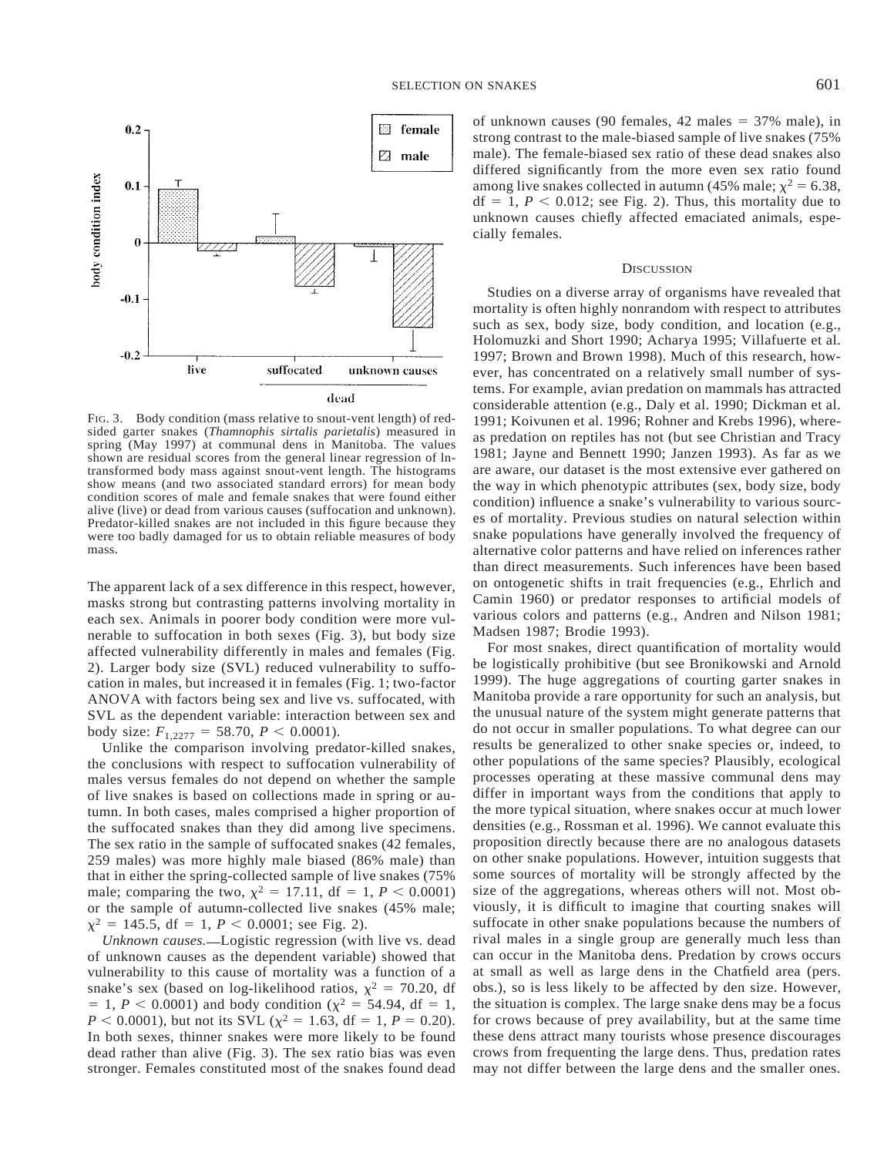

FIG. 3. Body condition (mass relative to snout-vent length) of redsided garter snakes (*Thamnophis sirtalis parietalis*) measured in spring (May 1997) at communal dens in Manitoba. The values shown are residual scores from the general linear regression of lntransformed body mass against snout-vent length. The histograms show means (and two associated standard errors) for mean body condition scores of male and female snakes that were found either alive (live) or dead from various causes (suffocation and unknown). Predator-killed snakes are not included in this figure because they were too badly damaged for us to obtain reliable measures of body mass.

The apparent lack of a sex difference in this respect, however, masks strong but contrasting patterns involving mortality in each sex. Animals in poorer body condition were more vulnerable to suffocation in both sexes (Fig. 3), but body size affected vulnerability differently in males and females (Fig. 2). Larger body size (SVL) reduced vulnerability to suffocation in males, but increased it in females (Fig. 1; two-factor ANOVA with factors being sex and live vs. suffocated, with SVL as the dependent variable: interaction between sex and body size:  $F_{1,2277} = 58.70, P < 0.0001$ .

Unlike the comparison involving predator-killed snakes, the conclusions with respect to suffocation vulnerability of males versus females do not depend on whether the sample of live snakes is based on collections made in spring or autumn. In both cases, males comprised a higher proportion of the suffocated snakes than they did among live specimens. The sex ratio in the sample of suffocated snakes (42 females, 259 males) was more highly male biased (86% male) than that in either the spring-collected sample of live snakes (75% male; comparing the two,  $\chi^2 = 17.11$ , df = 1, *P* < 0.0001) or the sample of autumn-collected live snakes (45% male;  $\chi^2 = 145.5$ , df = 1, *P* < 0.0001; see Fig. 2).

*Unknown causes.* Logistic regression (with live vs. dead of unknown causes as the dependent variable) showed that vulnerability to this cause of mortality was a function of a snake's sex (based on log-likelihood ratios,  $\chi^2 = 70.20$ , df  $= 1, P < 0.0001$ ) and body condition ( $\chi^2 = 54.94$ , df = 1,  $P < 0.0001$ ), but not its SVL ( $\chi^2 = 1.63$ , df = 1, *P* = 0.20). In both sexes, thinner snakes were more likely to be found dead rather than alive (Fig. 3). The sex ratio bias was even stronger. Females constituted most of the snakes found dead

of unknown causes (90 females, 42 males  $= 37\%$  male), in strong contrast to the male-biased sample of live snakes (75% male). The female-biased sex ratio of these dead snakes also differed significantly from the more even sex ratio found among live snakes collected in autumn (45% male;  $\chi^2$  = 6.38,  $df = 1$ ,  $P < 0.012$ ; see Fig. 2). Thus, this mortality due to unknown causes chiefly affected emaciated animals, especially females.

### **DISCUSSION**

Studies on a diverse array of organisms have revealed that mortality is often highly nonrandom with respect to attributes such as sex, body size, body condition, and location (e.g., Holomuzki and Short 1990; Acharya 1995; Villafuerte et al. 1997; Brown and Brown 1998). Much of this research, however, has concentrated on a relatively small number of systems. For example, avian predation on mammals has attracted considerable attention (e.g., Daly et al. 1990; Dickman et al. 1991; Koivunen et al. 1996; Rohner and Krebs 1996), whereas predation on reptiles has not (but see Christian and Tracy 1981; Jayne and Bennett 1990; Janzen 1993). As far as we are aware, our dataset is the most extensive ever gathered on the way in which phenotypic attributes (sex, body size, body condition) influence a snake's vulnerability to various sources of mortality. Previous studies on natural selection within snake populations have generally involved the frequency of alternative color patterns and have relied on inferences rather than direct measurements. Such inferences have been based on ontogenetic shifts in trait frequencies (e.g., Ehrlich and Camin 1960) or predator responses to artificial models of various colors and patterns (e.g., Andren and Nilson 1981; Madsen 1987; Brodie 1993).

For most snakes, direct quantification of mortality would be logistically prohibitive (but see Bronikowski and Arnold 1999). The huge aggregations of courting garter snakes in Manitoba provide a rare opportunity for such an analysis, but the unusual nature of the system might generate patterns that do not occur in smaller populations. To what degree can our results be generalized to other snake species or, indeed, to other populations of the same species? Plausibly, ecological processes operating at these massive communal dens may differ in important ways from the conditions that apply to the more typical situation, where snakes occur at much lower densities (e.g., Rossman et al. 1996). We cannot evaluate this proposition directly because there are no analogous datasets on other snake populations. However, intuition suggests that some sources of mortality will be strongly affected by the size of the aggregations, whereas others will not. Most obviously, it is difficult to imagine that courting snakes will suffocate in other snake populations because the numbers of rival males in a single group are generally much less than can occur in the Manitoba dens. Predation by crows occurs at small as well as large dens in the Chatfield area (pers. obs.), so is less likely to be affected by den size. However, the situation is complex. The large snake dens may be a focus for crows because of prey availability, but at the same time these dens attract many tourists whose presence discourages crows from frequenting the large dens. Thus, predation rates may not differ between the large dens and the smaller ones.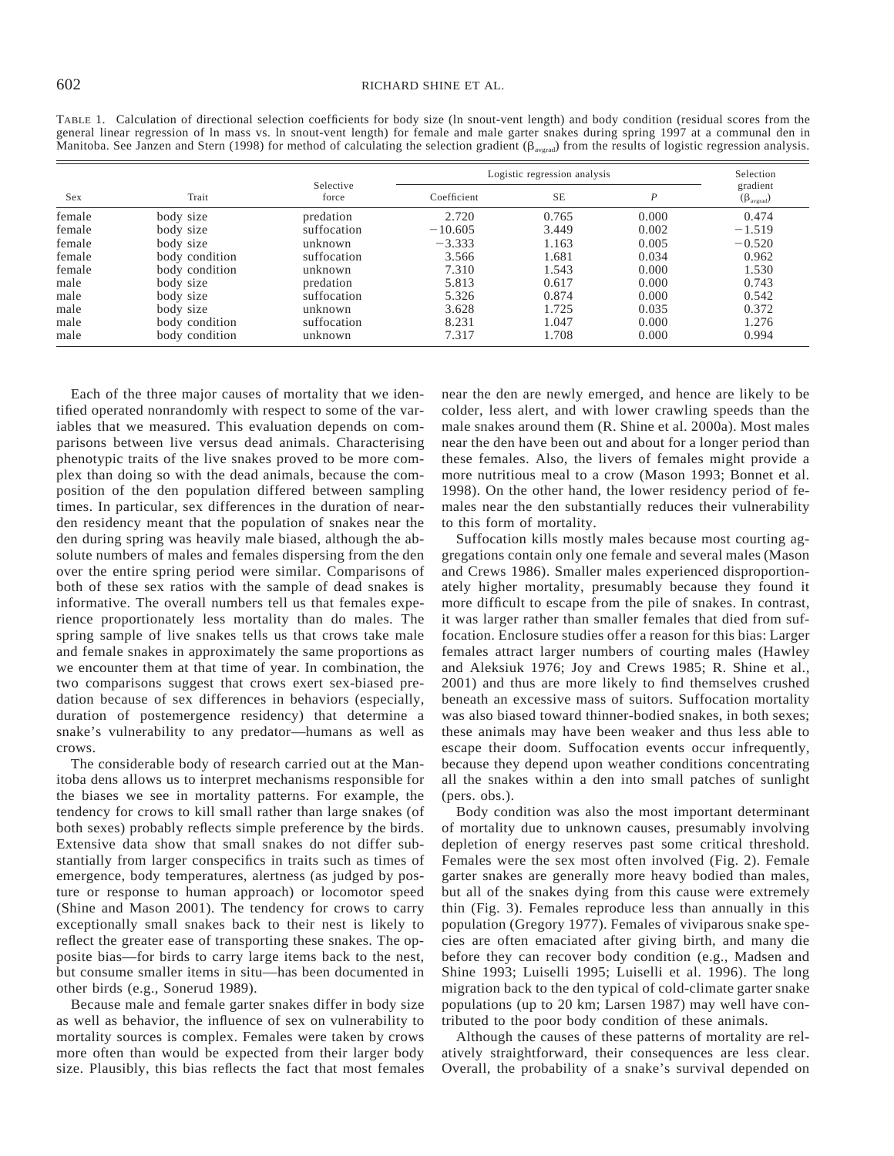TABLE 1. Calculation of directional selection coefficients for body size (ln snout-vent length) and body condition (residual scores from the general linear regression of ln mass vs. ln snout-vent length) for female and male garter snakes during spring 1997 at a communal den in Manitoba. See Janzen and Stern (1998) for method of calculating the selection gradient ( $\beta_{\text{avgrad}}$ ) from the results of logistic regression analysis.

| Sex    | Trait          | Selective<br>force | Logistic regression analysis |       |                  | Selection                             |
|--------|----------------|--------------------|------------------------------|-------|------------------|---------------------------------------|
|        |                |                    | Coefficient                  | SE    | $\boldsymbol{P}$ | gradient<br>$(\beta_{\text{avgrad}})$ |
| female | body size      | predation          | 2.720                        | 0.765 | 0.000            | 0.474                                 |
| female | body size      | suffocation        | $-10.605$                    | 3.449 | 0.002            | $-1.519$                              |
| female | body size      | unknown            | $-3.333$                     | 1.163 | 0.005            | $-0.520$                              |
| female | body condition | suffocation        | 3.566                        | 1.681 | 0.034            | 0.962                                 |
| female | body condition | unknown            | 7.310                        | 1.543 | 0.000            | 1.530                                 |
| male   | body size      | predation          | 5.813                        | 0.617 | 0.000            | 0.743                                 |
| male   | body size      | suffocation        | 5.326                        | 0.874 | 0.000            | 0.542                                 |
| male   | body size      | unknown            | 3.628                        | 1.725 | 0.035            | 0.372                                 |
| male   | body condition | suffocation        | 8.231                        | 1.047 | 0.000            | 1.276                                 |
| male   | body condition | unknown            | 7.317                        | 1.708 | 0.000            | 0.994                                 |

Each of the three major causes of mortality that we identified operated nonrandomly with respect to some of the variables that we measured. This evaluation depends on comparisons between live versus dead animals. Characterising phenotypic traits of the live snakes proved to be more complex than doing so with the dead animals, because the composition of the den population differed between sampling times. In particular, sex differences in the duration of nearden residency meant that the population of snakes near the den during spring was heavily male biased, although the absolute numbers of males and females dispersing from the den over the entire spring period were similar. Comparisons of both of these sex ratios with the sample of dead snakes is informative. The overall numbers tell us that females experience proportionately less mortality than do males. The spring sample of live snakes tells us that crows take male and female snakes in approximately the same proportions as we encounter them at that time of year. In combination, the two comparisons suggest that crows exert sex-biased predation because of sex differences in behaviors (especially, duration of postemergence residency) that determine a snake's vulnerability to any predator—humans as well as crows.

The considerable body of research carried out at the Manitoba dens allows us to interpret mechanisms responsible for the biases we see in mortality patterns. For example, the tendency for crows to kill small rather than large snakes (of both sexes) probably reflects simple preference by the birds. Extensive data show that small snakes do not differ substantially from larger conspecifics in traits such as times of emergence, body temperatures, alertness (as judged by posture or response to human approach) or locomotor speed (Shine and Mason 2001). The tendency for crows to carry exceptionally small snakes back to their nest is likely to reflect the greater ease of transporting these snakes. The opposite bias—for birds to carry large items back to the nest, but consume smaller items in situ—has been documented in other birds (e.g., Sonerud 1989).

Because male and female garter snakes differ in body size as well as behavior, the influence of sex on vulnerability to mortality sources is complex. Females were taken by crows more often than would be expected from their larger body size. Plausibly, this bias reflects the fact that most females near the den are newly emerged, and hence are likely to be colder, less alert, and with lower crawling speeds than the male snakes around them (R. Shine et al. 2000a). Most males near the den have been out and about for a longer period than these females. Also, the livers of females might provide a more nutritious meal to a crow (Mason 1993; Bonnet et al. 1998). On the other hand, the lower residency period of females near the den substantially reduces their vulnerability to this form of mortality.

Suffocation kills mostly males because most courting aggregations contain only one female and several males (Mason and Crews 1986). Smaller males experienced disproportionately higher mortality, presumably because they found it more difficult to escape from the pile of snakes. In contrast, it was larger rather than smaller females that died from suffocation. Enclosure studies offer a reason for this bias: Larger females attract larger numbers of courting males (Hawley and Aleksiuk 1976; Joy and Crews 1985; R. Shine et al., 2001) and thus are more likely to find themselves crushed beneath an excessive mass of suitors. Suffocation mortality was also biased toward thinner-bodied snakes, in both sexes; these animals may have been weaker and thus less able to escape their doom. Suffocation events occur infrequently, because they depend upon weather conditions concentrating all the snakes within a den into small patches of sunlight (pers. obs.).

Body condition was also the most important determinant of mortality due to unknown causes, presumably involving depletion of energy reserves past some critical threshold. Females were the sex most often involved (Fig. 2). Female garter snakes are generally more heavy bodied than males, but all of the snakes dying from this cause were extremely thin (Fig. 3). Females reproduce less than annually in this population (Gregory 1977). Females of viviparous snake species are often emaciated after giving birth, and many die before they can recover body condition (e.g., Madsen and Shine 1993; Luiselli 1995; Luiselli et al. 1996). The long migration back to the den typical of cold-climate garter snake populations (up to 20 km; Larsen 1987) may well have contributed to the poor body condition of these animals.

Although the causes of these patterns of mortality are relatively straightforward, their consequences are less clear. Overall, the probability of a snake's survival depended on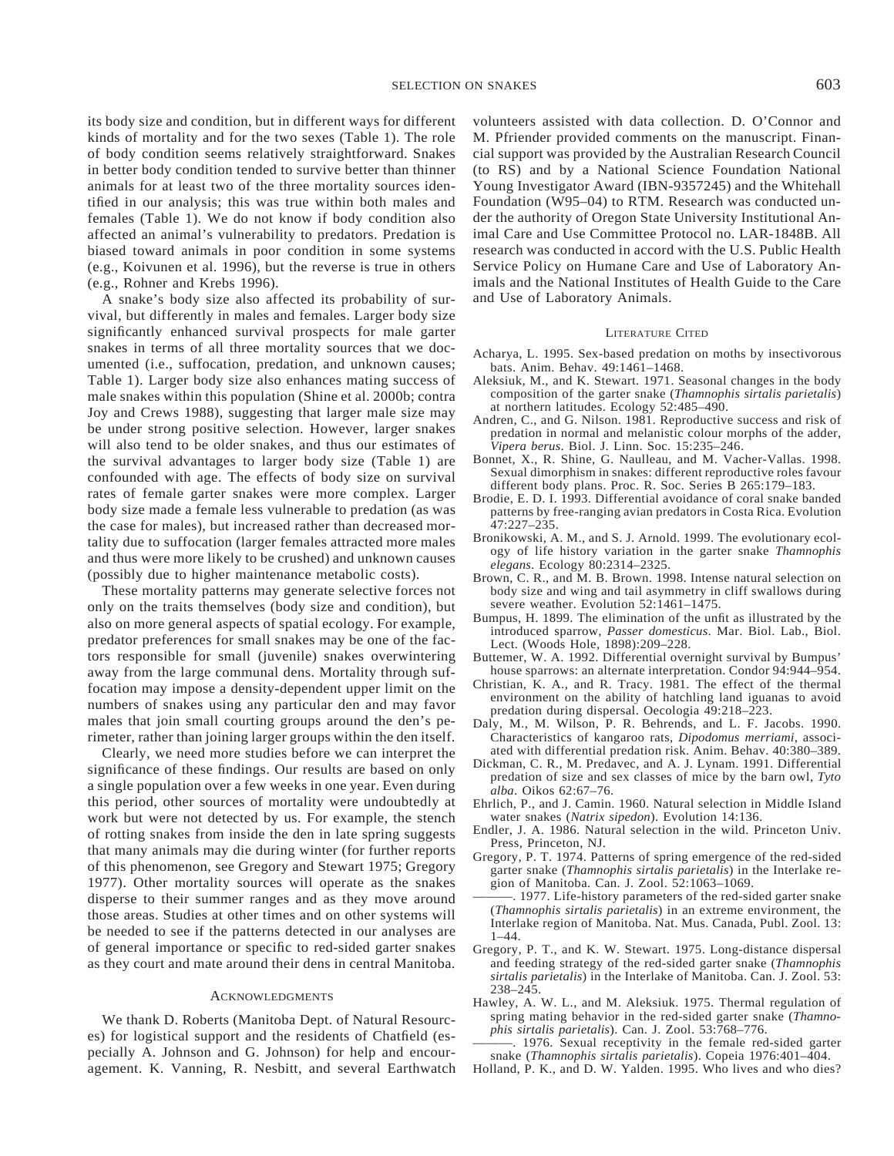its body size and condition, but in different ways for different kinds of mortality and for the two sexes (Table 1). The role of body condition seems relatively straightforward. Snakes in better body condition tended to survive better than thinner animals for at least two of the three mortality sources identified in our analysis; this was true within both males and females (Table 1). We do not know if body condition also affected an animal's vulnerability to predators. Predation is biased toward animals in poor condition in some systems (e.g., Koivunen et al. 1996), but the reverse is true in others (e.g., Rohner and Krebs 1996).

A snake's body size also affected its probability of survival, but differently in males and females. Larger body size significantly enhanced survival prospects for male garter snakes in terms of all three mortality sources that we documented (i.e., suffocation, predation, and unknown causes; Table 1). Larger body size also enhances mating success of male snakes within this population (Shine et al. 2000b; contra Joy and Crews 1988), suggesting that larger male size may be under strong positive selection. However, larger snakes will also tend to be older snakes, and thus our estimates of the survival advantages to larger body size (Table 1) are confounded with age. The effects of body size on survival rates of female garter snakes were more complex. Larger body size made a female less vulnerable to predation (as was the case for males), but increased rather than decreased mortality due to suffocation (larger females attracted more males and thus were more likely to be crushed) and unknown causes (possibly due to higher maintenance metabolic costs).

These mortality patterns may generate selective forces not only on the traits themselves (body size and condition), but also on more general aspects of spatial ecology. For example, predator preferences for small snakes may be one of the factors responsible for small (juvenile) snakes overwintering away from the large communal dens. Mortality through suffocation may impose a density-dependent upper limit on the numbers of snakes using any particular den and may favor males that join small courting groups around the den's perimeter, rather than joining larger groups within the den itself.

Clearly, we need more studies before we can interpret the significance of these findings. Our results are based on only a single population over a few weeks in one year. Even during this period, other sources of mortality were undoubtedly at work but were not detected by us. For example, the stench of rotting snakes from inside the den in late spring suggests that many animals may die during winter (for further reports of this phenomenon, see Gregory and Stewart 1975; Gregory 1977). Other mortality sources will operate as the snakes disperse to their summer ranges and as they move around those areas. Studies at other times and on other systems will be needed to see if the patterns detected in our analyses are of general importance or specific to red-sided garter snakes as they court and mate around their dens in central Manitoba.

### **ACKNOWLEDGMENTS**

We thank D. Roberts (Manitoba Dept. of Natural Resources) for logistical support and the residents of Chatfield (especially A. Johnson and G. Johnson) for help and encouragement. K. Vanning, R. Nesbitt, and several Earthwatch volunteers assisted with data collection. D. O'Connor and M. Pfriender provided comments on the manuscript. Financial support was provided by the Australian Research Council (to RS) and by a National Science Foundation National Young Investigator Award (IBN-9357245) and the Whitehall Foundation (W95–04) to RTM. Research was conducted under the authority of Oregon State University Institutional Animal Care and Use Committee Protocol no. LAR-1848B. All research was conducted in accord with the U.S. Public Health Service Policy on Humane Care and Use of Laboratory Animals and the National Institutes of Health Guide to the Care and Use of Laboratory Animals.

#### LITERATURE CITED

- Acharya, L. 1995. Sex-based predation on moths by insectivorous bats. Anim. Behav. 49:1461–1468.
- Aleksiuk, M., and K. Stewart. 1971. Seasonal changes in the body composition of the garter snake (*Thamnophis sirtalis parietalis*) at northern latitudes. Ecology 52:485–490.
- Andren, C., and G. Nilson. 1981. Reproductive success and risk of predation in normal and melanistic colour morphs of the adder, *Vipera berus*. Biol. J. Linn. Soc. 15:235–246.
- Bonnet, X., R. Shine, G. Naulleau, and M. Vacher-Vallas. 1998. Sexual dimorphism in snakes: different reproductive roles favour different body plans. Proc. R. Soc. Series B 265:179–183.
- Brodie, E. D. I. 1993. Differential avoidance of coral snake banded patterns by free-ranging avian predators in Costa Rica. Evolution  $47:227 - 235$ .
- Bronikowski, A. M., and S. J. Arnold. 1999. The evolutionary ecology of life history variation in the garter snake *Thamnophis elegans*. Ecology 80:2314–2325.
- Brown, C. R., and M. B. Brown. 1998. Intense natural selection on body size and wing and tail asymmetry in cliff swallows during severe weather. Evolution 52:1461–1475.
- Bumpus, H. 1899. The elimination of the unfit as illustrated by the introduced sparrow, *Passer domesticus*. Mar. Biol. Lab., Biol. Lect. (Woods Hole, 1898):209–228.
- Buttemer, W. A. 1992. Differential overnight survival by Bumpus' house sparrows: an alternate interpretation. Condor 94:944–954.
- Christian, K. A., and R. Tracy. 1981. The effect of the thermal environment on the ability of hatchling land iguanas to avoid predation during dispersal. Oecologia 49:218–223.
- Daly, M., M. Wilson, P. R. Behrends, and L. F. Jacobs. 1990. Characteristics of kangaroo rats, *Dipodomus merriami*, associated with differential predation risk. Anim. Behav. 40:380–389.
- Dickman, C. R., M. Predavec, and A. J. Lynam. 1991. Differential predation of size and sex classes of mice by the barn owl, *Tyto alba*. Oikos 62:67–76.
- Ehrlich, P., and J. Camin. 1960. Natural selection in Middle Island water snakes (*Natrix sipedon*). Evolution 14:136.
- Endler, J. A. 1986. Natural selection in the wild. Princeton Univ. Press, Princeton, NJ.
- Gregory, P. T. 1974. Patterns of spring emergence of the red-sided garter snake (*Thamnophis sirtalis parietalis*) in the Interlake region of Manitoba. Can. J. Zool. 52:1063–1069.
- -. 1977. Life-history parameters of the red-sided garter snake (*Thamnophis sirtalis parietalis*) in an extreme environment, the Interlake region of Manitoba. Nat. Mus. Canada, Publ. Zool. 13: 1–44.
- Gregory, P. T., and K. W. Stewart. 1975. Long-distance dispersal and feeding strategy of the red-sided garter snake (*Thamnophis sirtalis parietalis*) in the Interlake of Manitoba. Can. J. Zool. 53: 238–245.
- Hawley, A. W. L., and M. Aleksiuk. 1975. Thermal regulation of spring mating behavior in the red-sided garter snake (*Thamnophis sirtalis parietalis*). Can. J. Zool. 53:768–776.

-. 1976. Sexual receptivity in the female red-sided garter snake (*Thamnophis sirtalis parietalis*). Copeia 1976:401–404.

Holland, P. K., and D. W. Yalden. 1995. Who lives and who dies?